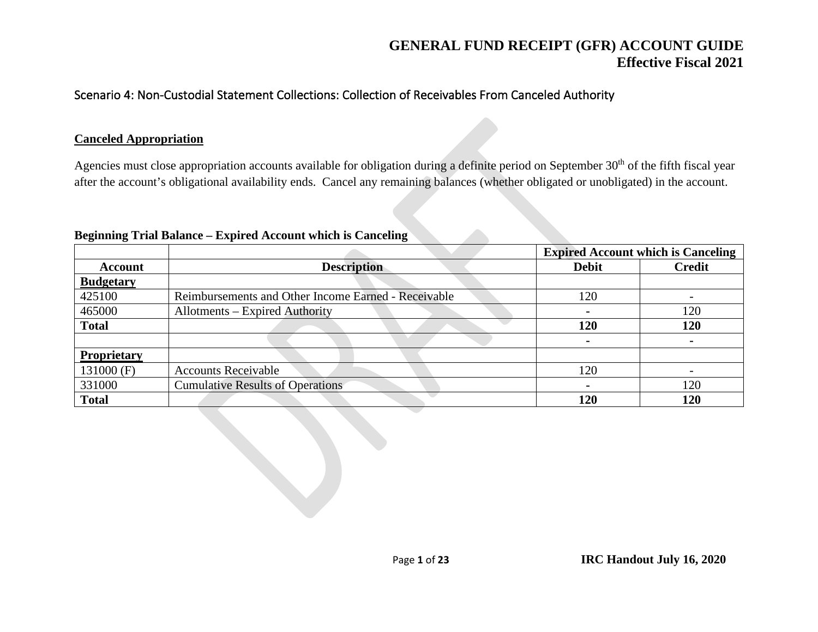#### Scenario 4: Non-Custodial Statement Collections: Collection of Receivables From Canceled Authority

#### **Canceled Appropriation**

Agencies must close appropriation accounts available for obligation during a definite period on September 30<sup>th</sup> of the fifth fiscal year after the account's obligational availability ends. Cancel any remaining balances (whether obligated or unobligated) in the account.

|                    |                                                     | <b>Expired Account which is Canceling</b> |               |  |
|--------------------|-----------------------------------------------------|-------------------------------------------|---------------|--|
| <b>Account</b>     | <b>Description</b>                                  | <b>Debit</b>                              | <b>Credit</b> |  |
| <b>Budgetary</b>   |                                                     |                                           |               |  |
| 425100             | Reimbursements and Other Income Earned - Receivable | 120                                       |               |  |
| 465000             | Allotments – Expired Authority                      |                                           | 120           |  |
| <b>Total</b>       |                                                     | 120                                       | <b>120</b>    |  |
|                    |                                                     |                                           |               |  |
| <b>Proprietary</b> |                                                     |                                           |               |  |
| 131000 (F)         | <b>Accounts Receivable</b>                          | 120                                       |               |  |
| 331000             | <b>Cumulative Results of Operations</b>             |                                           | 120           |  |
| <b>Total</b>       |                                                     | 120                                       | 120           |  |

#### **Beginning Trial Balance – Expired Account which is Canceling**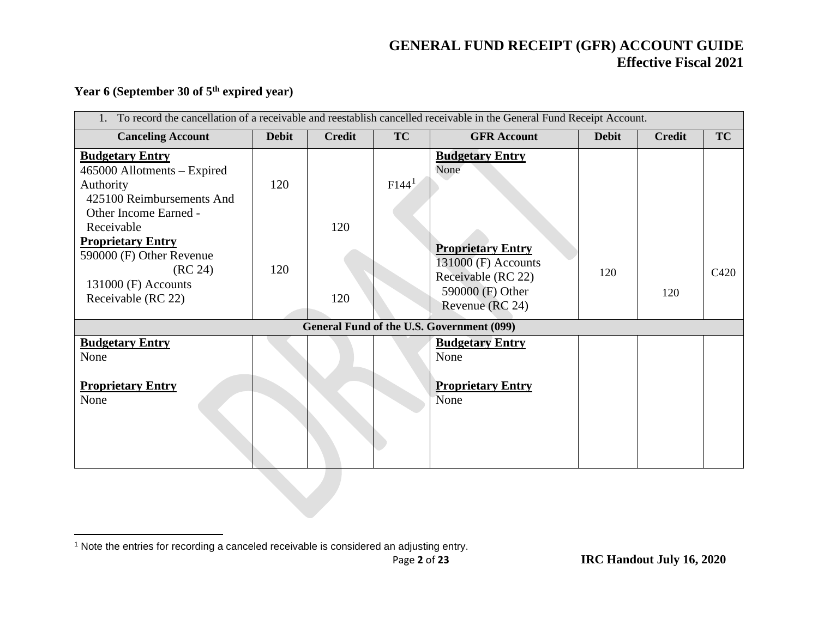#### <span id="page-1-0"></span>**Year 6 (September 30 of 5th expired year)**

| To record the cancellation of a receivable and reestablish cancelled receivable in the General Fund Receipt Account.         |              |               |                   |                                                                                                              |              |               |                  |  |
|------------------------------------------------------------------------------------------------------------------------------|--------------|---------------|-------------------|--------------------------------------------------------------------------------------------------------------|--------------|---------------|------------------|--|
| <b>Canceling Account</b>                                                                                                     | <b>Debit</b> | <b>Credit</b> | <b>TC</b>         | <b>GFR Account</b>                                                                                           | <b>Debit</b> | <b>Credit</b> | TC               |  |
| <b>Budgetary Entry</b><br>465000 Allotments – Expired<br>Authority<br>425100 Reimbursements And<br>Other Income Earned -     | 120          |               | F144 <sup>1</sup> | <b>Budgetary Entry</b><br>None                                                                               |              |               |                  |  |
| Receivable<br><b>Proprietary Entry</b><br>590000 (F) Other Revenue<br>(RC 24)<br>$131000$ (F) Accounts<br>Receivable (RC 22) | 120          | 120<br>120    |                   | <b>Proprietary Entry</b><br>131000 (F) Accounts<br>Receivable (RC 22)<br>590000 (F) Other<br>Revenue (RC 24) | 120          | 120           | C <sub>420</sub> |  |
|                                                                                                                              |              |               |                   | General Fund of the U.S. Government (099)                                                                    |              |               |                  |  |
| <b>Budgetary Entry</b><br>None                                                                                               |              |               |                   | <b>Budgetary Entry</b><br>None                                                                               |              |               |                  |  |
| <b>Proprietary Entry</b><br>None                                                                                             |              |               |                   | <b>Proprietary Entry</b><br>None                                                                             |              |               |                  |  |

<sup>&</sup>lt;sup>1</sup> Note the entries for recording a canceled receivable is considered an adjusting entry.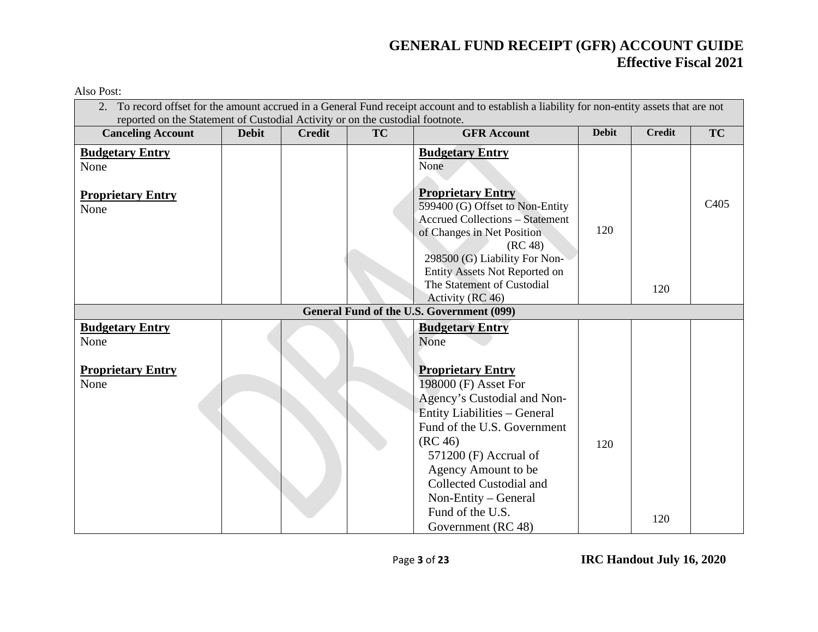Also Post:

| 2. To record offset for the amount accrued in a General Fund receipt account and to establish a liability for non-entity assets that are not<br>reported on the Statement of Custodial Activity or on the custodial footnote. |              |               |    |                                                                                                                                                                                                                                                                                                                 |              |               |                  |  |  |
|-------------------------------------------------------------------------------------------------------------------------------------------------------------------------------------------------------------------------------|--------------|---------------|----|-----------------------------------------------------------------------------------------------------------------------------------------------------------------------------------------------------------------------------------------------------------------------------------------------------------------|--------------|---------------|------------------|--|--|
| <b>Canceling Account</b>                                                                                                                                                                                                      | <b>Debit</b> | <b>Credit</b> | TC | <b>GFR Account</b>                                                                                                                                                                                                                                                                                              | <b>Debit</b> | <b>Credit</b> | <b>TC</b>        |  |  |
| <b>Budgetary Entry</b><br>None                                                                                                                                                                                                |              |               |    | <b>Budgetary Entry</b><br>None                                                                                                                                                                                                                                                                                  |              |               |                  |  |  |
| <b>Proprietary Entry</b><br>None                                                                                                                                                                                              |              |               |    | <b>Proprietary Entry</b><br>599400 (G) Offset to Non-Entity<br><b>Accrued Collections - Statement</b><br>of Changes in Net Position<br>(RC 48)<br>298500 (G) Liability For Non-<br>Entity Assets Not Reported on                                                                                                | 120          |               | C <sub>405</sub> |  |  |
|                                                                                                                                                                                                                               |              |               |    | The Statement of Custodial<br>Activity (RC 46)                                                                                                                                                                                                                                                                  |              | 120           |                  |  |  |
|                                                                                                                                                                                                                               |              |               |    | <b>General Fund of the U.S. Government (099)</b>                                                                                                                                                                                                                                                                |              |               |                  |  |  |
| <b>Budgetary Entry</b><br>None                                                                                                                                                                                                |              |               |    | <b>Budgetary Entry</b><br>None                                                                                                                                                                                                                                                                                  |              |               |                  |  |  |
| <b>Proprietary Entry</b><br>None                                                                                                                                                                                              |              |               |    | <b>Proprietary Entry</b><br>198000 (F) Asset For<br>Agency's Custodial and Non-<br><b>Entity Liabilities - General</b><br>Fund of the U.S. Government<br>(RC 46)<br>$571200$ (F) Accrual of<br>Agency Amount to be<br>Collected Custodial and<br>Non-Entity - General<br>Fund of the U.S.<br>Government (RC 48) | 120          | 120           |                  |  |  |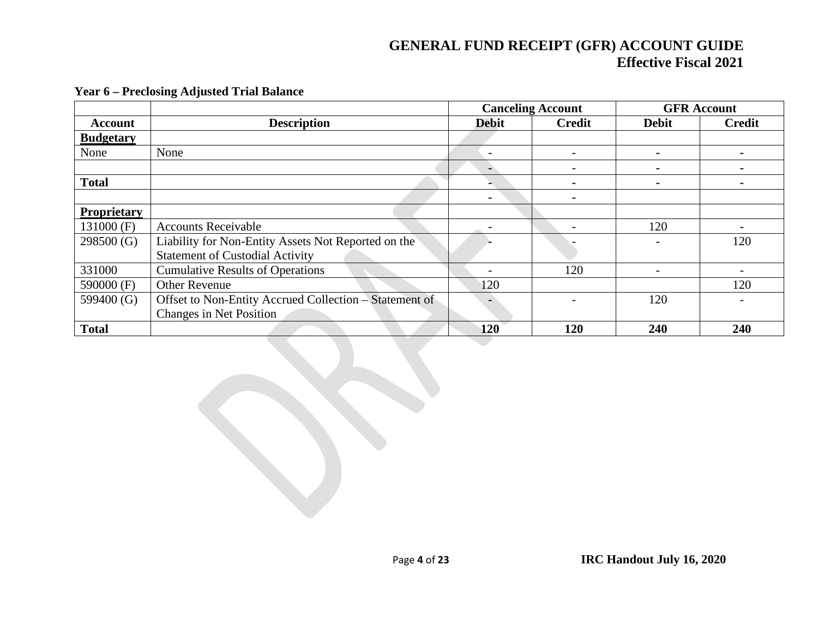|                  |                                                        | <b>Canceling Account</b> |                          | <b>GFR</b> Account |                |
|------------------|--------------------------------------------------------|--------------------------|--------------------------|--------------------|----------------|
| <b>Account</b>   | <b>Description</b>                                     | <b>Debit</b>             | <b>Credit</b>            | <b>Debit</b>       | Credit         |
| <b>Budgetary</b> |                                                        |                          |                          |                    |                |
| None             | None                                                   | $\overline{\phantom{0}}$ | -                        |                    |                |
|                  |                                                        |                          |                          |                    |                |
| <b>Total</b>     |                                                        |                          | $\blacksquare$           | $\blacksquare$     | $\blacksquare$ |
|                  |                                                        | $\blacksquare$           | -                        |                    |                |
| Proprietary      |                                                        |                          |                          |                    |                |
| 131000 (F)       | <b>Accounts Receivable</b>                             |                          | $\overline{\phantom{a}}$ | 120                |                |
| 298500 (G)       | Liability for Non-Entity Assets Not Reported on the    |                          |                          |                    | 120            |
|                  | <b>Statement of Custodial Activity</b>                 |                          |                          |                    |                |
| 331000           | <b>Cumulative Results of Operations</b>                | $\overline{\phantom{0}}$ | 120                      |                    |                |
| 590000 (F)       | <b>Other Revenue</b>                                   | 120                      |                          |                    | 120            |
| 599400 (G)       | Offset to Non-Entity Accrued Collection - Statement of |                          |                          | 120                |                |
|                  | <b>Changes in Net Position</b>                         |                          |                          |                    |                |
| <b>Total</b>     |                                                        | 120                      | 120                      | 240                | 240            |

#### **Year 6 – Preclosing Adjusted Trial Balance**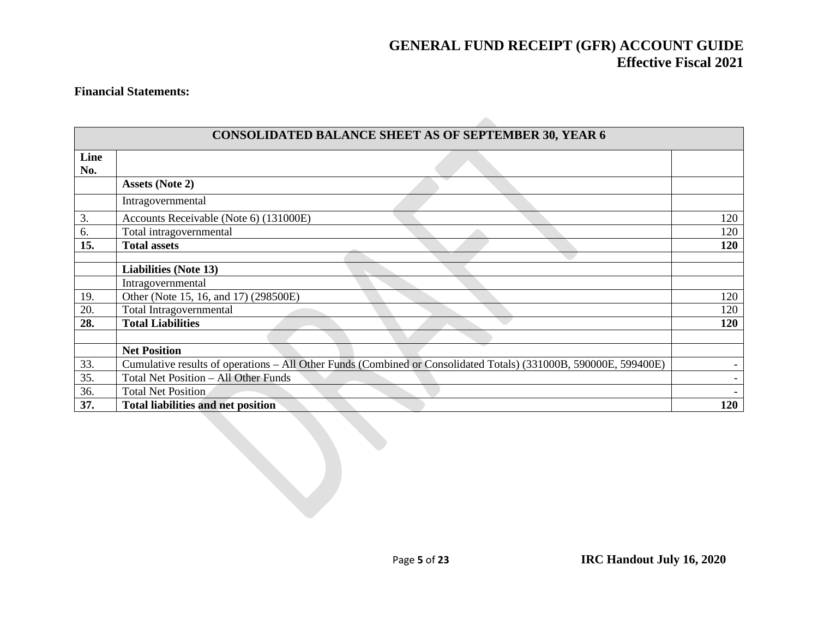#### **Financial Statements:**

| <b>CONSOLIDATED BALANCE SHEET AS OF SEPTEMBER 30, YEAR 6</b> |                                                                                                                  |                          |  |  |
|--------------------------------------------------------------|------------------------------------------------------------------------------------------------------------------|--------------------------|--|--|
| Line<br>No.                                                  |                                                                                                                  |                          |  |  |
|                                                              | <b>Assets (Note 2)</b>                                                                                           |                          |  |  |
|                                                              | Intragovernmental                                                                                                |                          |  |  |
| 3.                                                           | Accounts Receivable (Note 6) (131000E)                                                                           | 120                      |  |  |
| 6.                                                           | Total intragovernmental                                                                                          | 120                      |  |  |
| 15.                                                          | <b>Total assets</b>                                                                                              | 120                      |  |  |
|                                                              |                                                                                                                  |                          |  |  |
|                                                              | <b>Liabilities (Note 13)</b>                                                                                     |                          |  |  |
|                                                              | Intragovernmental                                                                                                |                          |  |  |
| 19.                                                          | Other (Note 15, 16, and 17) (298500E)                                                                            | 120                      |  |  |
| 20.                                                          | Total Intragovernmental                                                                                          | 120                      |  |  |
| 28.                                                          | <b>Total Liabilities</b>                                                                                         | 120                      |  |  |
|                                                              |                                                                                                                  |                          |  |  |
|                                                              | <b>Net Position</b>                                                                                              |                          |  |  |
| 33.                                                          | Cumulative results of operations - All Other Funds (Combined or Consolidated Totals) (331000B, 590000E, 599400E) | $\overline{\phantom{0}}$ |  |  |
| 35.                                                          | Total Net Position - All Other Funds                                                                             |                          |  |  |
| 36.                                                          | <b>Total Net Position</b>                                                                                        |                          |  |  |
| 37.                                                          | <b>Total liabilities and net position</b>                                                                        | 120                      |  |  |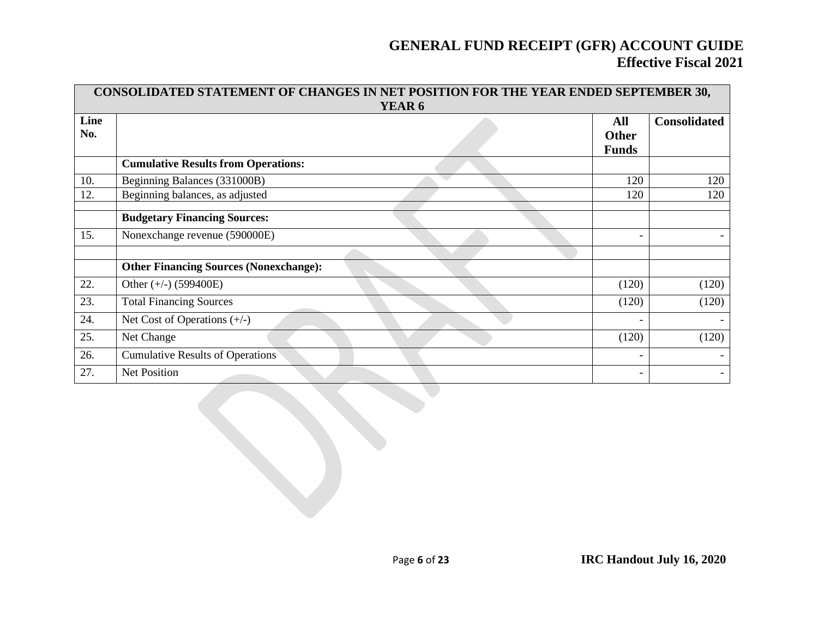|             | CONSOLIDATED STATEMENT OF CHANGES IN NET POSITION FOR THE YEAR ENDED SEPTEMBER 30,<br>YEAR 6 |                                     |                     |  |  |  |  |  |
|-------------|----------------------------------------------------------------------------------------------|-------------------------------------|---------------------|--|--|--|--|--|
| Line<br>No. |                                                                                              | All<br><b>Other</b><br><b>Funds</b> | <b>Consolidated</b> |  |  |  |  |  |
|             | <b>Cumulative Results from Operations:</b>                                                   |                                     |                     |  |  |  |  |  |
| 10.         | Beginning Balances (331000B)                                                                 | 120                                 | 120                 |  |  |  |  |  |
| 12.         | Beginning balances, as adjusted                                                              | 120                                 | 120                 |  |  |  |  |  |
|             | <b>Budgetary Financing Sources:</b>                                                          |                                     |                     |  |  |  |  |  |
| 15.         | Nonexchange revenue (590000E)                                                                | $\overline{\phantom{a}}$            |                     |  |  |  |  |  |
|             |                                                                                              |                                     |                     |  |  |  |  |  |
|             | <b>Other Financing Sources (Nonexchange):</b>                                                |                                     |                     |  |  |  |  |  |
| 22.         | Other $(+/-)$ (599400E)                                                                      | (120)                               | (120)               |  |  |  |  |  |
| 23.         | <b>Total Financing Sources</b>                                                               | (120)                               | (120)               |  |  |  |  |  |
| 24.         | Net Cost of Operations $(+/-)$                                                               | $\overline{\phantom{a}}$            |                     |  |  |  |  |  |
| 25.         | Net Change                                                                                   | (120)                               | (120)               |  |  |  |  |  |
| 26.         | <b>Cumulative Results of Operations</b>                                                      | $\overline{\phantom{a}}$            |                     |  |  |  |  |  |
| 27.         | <b>Net Position</b>                                                                          | $\overline{\phantom{a}}$            |                     |  |  |  |  |  |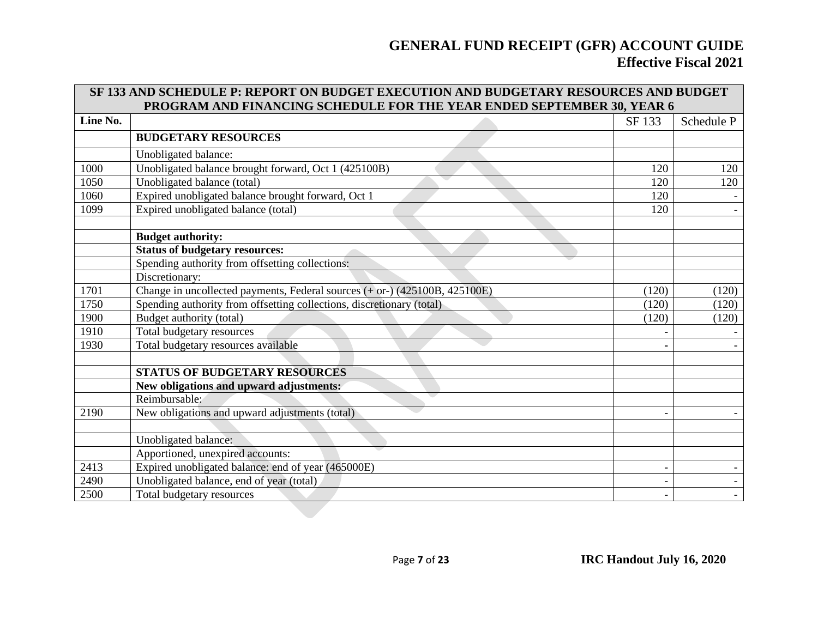|          | SF 133 AND SCHEDULE P: REPORT ON BUDGET EXECUTION AND BUDGETARY RESOURCES AND BUDGET<br>PROGRAM AND FINANCING SCHEDULE FOR THE YEAR ENDED SEPTEMBER 30, YEAR 6 |                          |            |  |  |  |  |
|----------|----------------------------------------------------------------------------------------------------------------------------------------------------------------|--------------------------|------------|--|--|--|--|
| Line No. |                                                                                                                                                                | SF 133                   | Schedule P |  |  |  |  |
|          | <b>BUDGETARY RESOURCES</b>                                                                                                                                     |                          |            |  |  |  |  |
|          | Unobligated balance:                                                                                                                                           |                          |            |  |  |  |  |
| 1000     | Unobligated balance brought forward, Oct 1 (425100B)                                                                                                           | 120                      | 120        |  |  |  |  |
| 1050     | Unobligated balance (total)                                                                                                                                    | 120                      | 120        |  |  |  |  |
| 1060     | Expired unobligated balance brought forward, Oct 1                                                                                                             | 120                      |            |  |  |  |  |
| 1099     | Expired unobligated balance (total)                                                                                                                            | 120                      |            |  |  |  |  |
|          |                                                                                                                                                                |                          |            |  |  |  |  |
|          | <b>Budget authority:</b>                                                                                                                                       |                          |            |  |  |  |  |
|          | <b>Status of budgetary resources:</b>                                                                                                                          |                          |            |  |  |  |  |
|          | Spending authority from offsetting collections:                                                                                                                |                          |            |  |  |  |  |
|          | Discretionary:                                                                                                                                                 |                          |            |  |  |  |  |
| 1701     | Change in uncollected payments, Federal sources $(+ or)-(425100B, 425100E)$                                                                                    | (120)                    | (120)      |  |  |  |  |
| 1750     | Spending authority from offsetting collections, discretionary (total)                                                                                          | (120)                    | (120)      |  |  |  |  |
| 1900     | Budget authority (total)                                                                                                                                       | (120)                    | (120)      |  |  |  |  |
| 1910     | Total budgetary resources                                                                                                                                      |                          |            |  |  |  |  |
| 1930     | Total budgetary resources available                                                                                                                            |                          |            |  |  |  |  |
|          |                                                                                                                                                                |                          |            |  |  |  |  |
|          | <b>STATUS OF BUDGETARY RESOURCES</b>                                                                                                                           |                          |            |  |  |  |  |
|          | New obligations and upward adjustments:                                                                                                                        |                          |            |  |  |  |  |
|          | Reimbursable:                                                                                                                                                  |                          |            |  |  |  |  |
| 2190     | New obligations and upward adjustments (total)                                                                                                                 |                          |            |  |  |  |  |
|          |                                                                                                                                                                |                          |            |  |  |  |  |
|          | Unobligated balance:                                                                                                                                           |                          |            |  |  |  |  |
|          | Apportioned, unexpired accounts:                                                                                                                               |                          |            |  |  |  |  |
| 2413     | Expired unobligated balance: end of year (465000E)                                                                                                             | $\overline{\phantom{a}}$ |            |  |  |  |  |
| 2490     | Unobligated balance, end of year (total)                                                                                                                       |                          |            |  |  |  |  |
| 2500     | Total budgetary resources                                                                                                                                      |                          |            |  |  |  |  |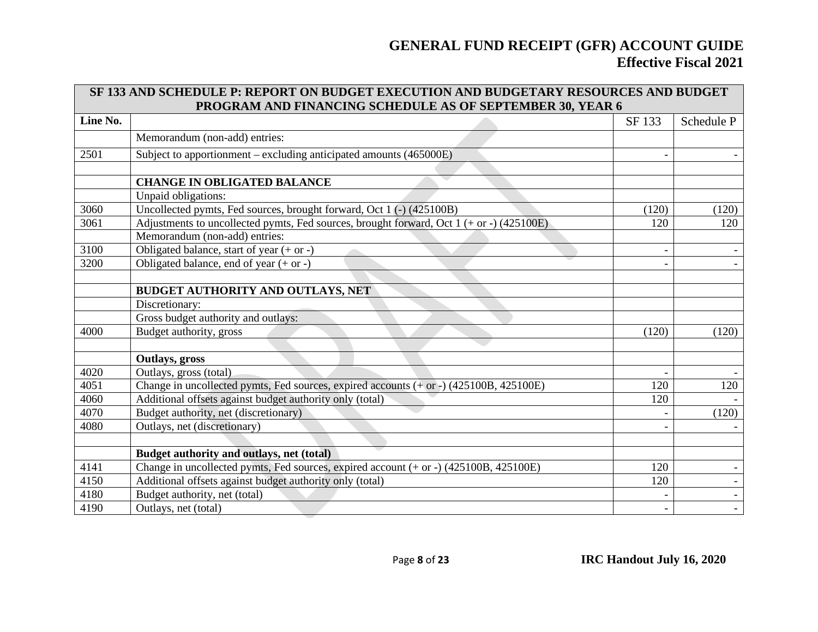|          | SF 133 AND SCHEDULE P: REPORT ON BUDGET EXECUTION AND BUDGETARY RESOURCES AND BUDGET<br>PROGRAM AND FINANCING SCHEDULE AS OF SEPTEMBER 30, YEAR 6 |        |                          |  |  |  |  |
|----------|---------------------------------------------------------------------------------------------------------------------------------------------------|--------|--------------------------|--|--|--|--|
| Line No. |                                                                                                                                                   | SF 133 | Schedule P               |  |  |  |  |
|          | Memorandum (non-add) entries:                                                                                                                     |        |                          |  |  |  |  |
| 2501     | Subject to apportionment – excluding anticipated amounts (465000E)                                                                                |        |                          |  |  |  |  |
|          |                                                                                                                                                   |        |                          |  |  |  |  |
|          | <b>CHANGE IN OBLIGATED BALANCE</b>                                                                                                                |        |                          |  |  |  |  |
|          | Unpaid obligations:                                                                                                                               |        |                          |  |  |  |  |
| 3060     | Uncollected pymts, Fed sources, brought forward, Oct 1 (-) (425100B)                                                                              | (120)  | (120)                    |  |  |  |  |
| 3061     | Adjustments to uncollected pymts, Fed sources, brought forward, Oct 1 (+ or -) (425100E)                                                          | 120    | 120                      |  |  |  |  |
|          | Memorandum (non-add) entries:                                                                                                                     |        |                          |  |  |  |  |
| 3100     | Obligated balance, start of year $(+ or -)$                                                                                                       |        |                          |  |  |  |  |
| 3200     | Obligated balance, end of year $(+ or -)$                                                                                                         |        |                          |  |  |  |  |
|          |                                                                                                                                                   |        |                          |  |  |  |  |
|          | BUDGET AUTHORITY AND OUTLAYS, NET                                                                                                                 |        |                          |  |  |  |  |
|          | Discretionary:                                                                                                                                    |        |                          |  |  |  |  |
|          | Gross budget authority and outlays:                                                                                                               |        |                          |  |  |  |  |
| 4000     | Budget authority, gross                                                                                                                           | (120)  | (120)                    |  |  |  |  |
|          |                                                                                                                                                   |        |                          |  |  |  |  |
|          | Outlays, gross                                                                                                                                    |        |                          |  |  |  |  |
| 4020     | Outlays, gross (total)                                                                                                                            |        |                          |  |  |  |  |
| 4051     | Change in uncollected pymts, Fed sources, expired accounts (+ or -) (425100B, 425100E)                                                            | 120    | 120                      |  |  |  |  |
| 4060     | Additional offsets against budget authority only (total)                                                                                          | 120    |                          |  |  |  |  |
| 4070     | Budget authority, net (discretionary)                                                                                                             |        | (120)                    |  |  |  |  |
| 4080     | Outlays, net (discretionary)                                                                                                                      |        |                          |  |  |  |  |
|          |                                                                                                                                                   |        |                          |  |  |  |  |
|          | Budget authority and outlays, net (total)                                                                                                         |        |                          |  |  |  |  |
| 4141     | Change in uncollected pymts, Fed sources, expired account $(+ or -)$ (425100B, 425100E)                                                           | 120    |                          |  |  |  |  |
| 4150     | Additional offsets against budget authority only (total)                                                                                          | 120    |                          |  |  |  |  |
| 4180     | Budget authority, net (total)                                                                                                                     |        | $\overline{\phantom{a}}$ |  |  |  |  |
| 4190     | Outlays, net (total)                                                                                                                              |        | $\overline{\phantom{a}}$ |  |  |  |  |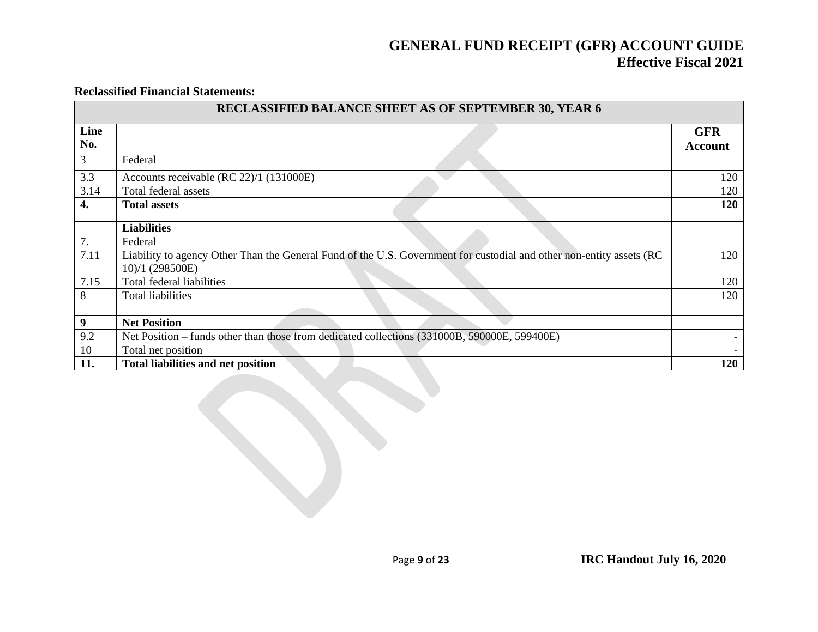#### **Reclassified Financial Statements:**

|             | RECLASSIFIED BALANCE SHEET AS OF SEPTEMBER 30, YEAR 6                                                                                   |                              |
|-------------|-----------------------------------------------------------------------------------------------------------------------------------------|------------------------------|
| Line<br>No. |                                                                                                                                         | <b>GFR</b><br><b>Account</b> |
| 3           | Federal                                                                                                                                 |                              |
| 3.3         | Accounts receivable (RC 22)/1 (131000E)                                                                                                 | 120                          |
| 3.14        | Total federal assets                                                                                                                    | 120                          |
| 4.          | <b>Total assets</b>                                                                                                                     | 120                          |
|             | <b>Liabilities</b>                                                                                                                      |                              |
| 7.          | Federal                                                                                                                                 |                              |
| 7.11        | Liability to agency Other Than the General Fund of the U.S. Government for custodial and other non-entity assets (RC<br>10)/1 (298500E) | 120                          |
| 7.15        | Total federal liabilities                                                                                                               | 120                          |
| 8           | <b>Total liabilities</b>                                                                                                                | 120                          |
|             |                                                                                                                                         |                              |
| 9           | <b>Net Position</b>                                                                                                                     |                              |
| 9.2         | Net Position – funds other than those from dedicated collections (331000B, 590000E, 599400E)                                            |                              |
| 10          | Total net position                                                                                                                      |                              |
| 11.         | <b>Total liabilities and net position</b>                                                                                               | 120                          |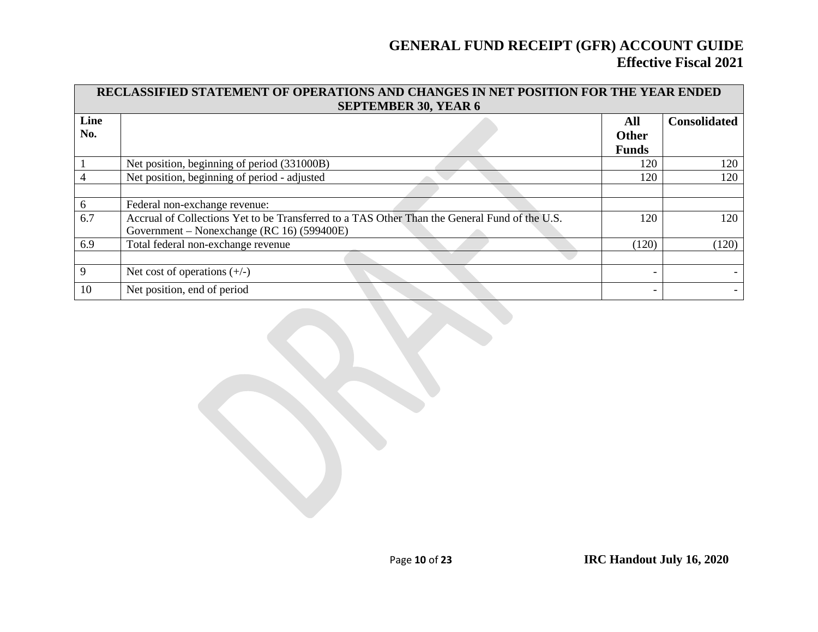|      | RECLASSIFIED STATEMENT OF OPERATIONS AND CHANGES IN NET POSITION FOR THE YEAR ENDED<br><b>SEPTEMBER 30, YEAR 6</b> |              |                     |  |  |  |  |
|------|--------------------------------------------------------------------------------------------------------------------|--------------|---------------------|--|--|--|--|
| Line |                                                                                                                    | All          | <b>Consolidated</b> |  |  |  |  |
| No.  |                                                                                                                    | <b>Other</b> |                     |  |  |  |  |
|      |                                                                                                                    | <b>Funds</b> |                     |  |  |  |  |
|      | Net position, beginning of period (331000B)                                                                        | 120          | 120                 |  |  |  |  |
|      | Net position, beginning of period - adjusted                                                                       | 120          | 120                 |  |  |  |  |
|      |                                                                                                                    |              |                     |  |  |  |  |
| 6    | Federal non-exchange revenue:                                                                                      |              |                     |  |  |  |  |
| 6.7  | Accrual of Collections Yet to be Transferred to a TAS Other Than the General Fund of the U.S.                      | 120          | 120                 |  |  |  |  |
|      | Government – Nonexchange (RC 16) (599400E)                                                                         |              |                     |  |  |  |  |
| 6.9  | Total federal non-exchange revenue                                                                                 | (120)        | (120)               |  |  |  |  |
|      |                                                                                                                    |              |                     |  |  |  |  |
| 9    | Net cost of operations $(+/-)$                                                                                     |              |                     |  |  |  |  |
| 10   | Net position, end of period                                                                                        |              |                     |  |  |  |  |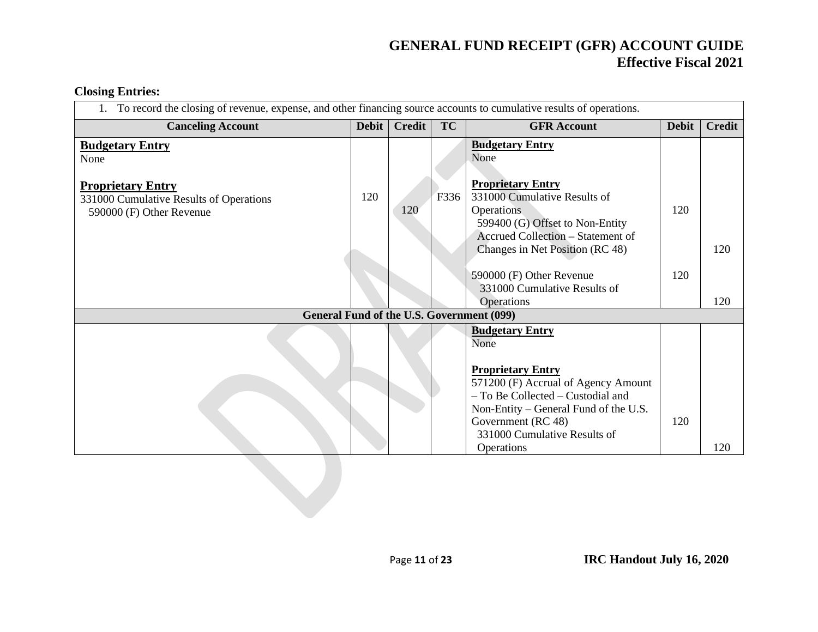Government (RC 48)

Operations

331000 Cumulative Results of

#### **Closing Entries:**

| <b>Closing Entries:</b>                                                                                             |       |        |           |                                                                                                                                                                                   |              |               |
|---------------------------------------------------------------------------------------------------------------------|-------|--------|-----------|-----------------------------------------------------------------------------------------------------------------------------------------------------------------------------------|--------------|---------------|
| To record the closing of revenue, expense, and other financing source accounts to cumulative results of operations. |       |        |           |                                                                                                                                                                                   |              |               |
| <b>Canceling Account</b>                                                                                            | Debit | Credit | <b>TC</b> | <b>GFR</b> Account                                                                                                                                                                | <b>Debit</b> | <b>Credit</b> |
| <b>Budgetary Entry</b><br>None                                                                                      |       |        |           | <b>Budgetary Entry</b><br>None                                                                                                                                                    |              |               |
| <b>Proprietary Entry</b><br>331000 Cumulative Results of Operations<br>590000 (F) Other Revenue                     | 120   | 120    | F336      | <b>Proprietary Entry</b><br>331000 Cumulative Results of<br>Operations<br>599400 (G) Offset to Non-Entity<br>Accrued Collection – Statement of<br>Changes in Net Position (RC 48) | 120          | 120           |
|                                                                                                                     |       |        |           | 590000 (F) Other Revenue<br>331000 Cumulative Results of<br>Operations                                                                                                            | 120          | 120           |
|                                                                                                                     |       |        |           | <b>General Fund of the U.S. Government (099)</b>                                                                                                                                  |              |               |
|                                                                                                                     |       |        |           | <b>Budgetary Entry</b><br>None<br><b>Proprietary Entry</b><br>571200 (F) Accrual of Agency Amount<br>- To Be Collected - Custodial and<br>Non-Entity – General Fund of the U.S.   |              |               |

120

120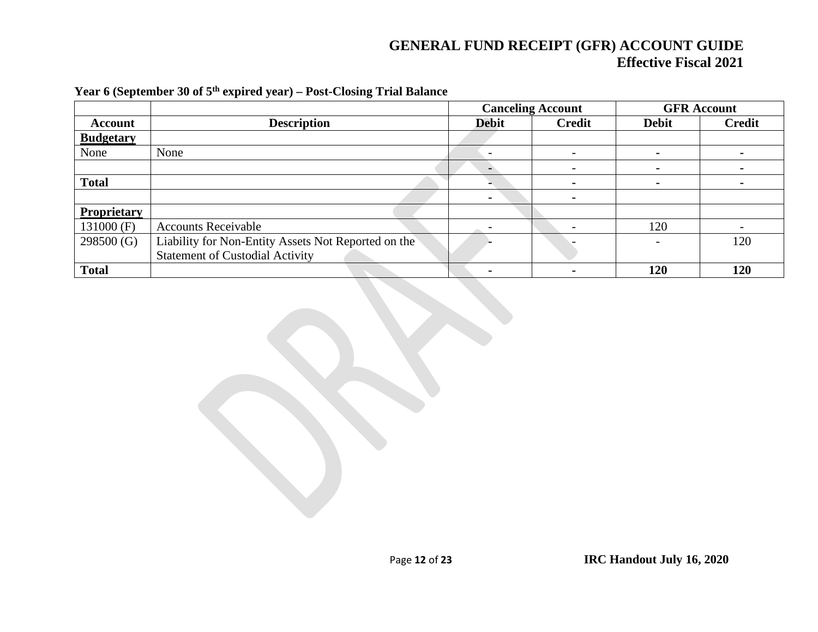|                    |                                                     | <b>Canceling Account</b> |                          | <b>GFR</b> Account |               |
|--------------------|-----------------------------------------------------|--------------------------|--------------------------|--------------------|---------------|
| <b>Account</b>     | <b>Description</b>                                  | <b>Debit</b>             | <b>Credit</b>            | <b>Debit</b>       | <b>Credit</b> |
| <b>Budgetary</b>   |                                                     |                          |                          |                    |               |
| None               | None                                                | $\overline{\phantom{0}}$ | $\overline{\phantom{0}}$ | $\blacksquare$     |               |
|                    |                                                     |                          |                          |                    |               |
| <b>Total</b>       |                                                     |                          | $\blacksquare$           | $\blacksquare$     |               |
|                    |                                                     | $\blacksquare$           | $\blacksquare$           |                    |               |
| <b>Proprietary</b> |                                                     |                          |                          |                    |               |
| 131000 (F)         | <b>Accounts Receivable</b>                          |                          | $\overline{\phantom{0}}$ | 120                |               |
| 298500(G)          | Liability for Non-Entity Assets Not Reported on the |                          |                          |                    | 120           |
|                    | <b>Statement of Custodial Activity</b>              |                          |                          |                    |               |
| <b>Total</b>       |                                                     | $\blacksquare$           |                          | 120                | 120           |

#### **Year 6 (September 30 of 5th expired year) – Post-Closing Trial Balance**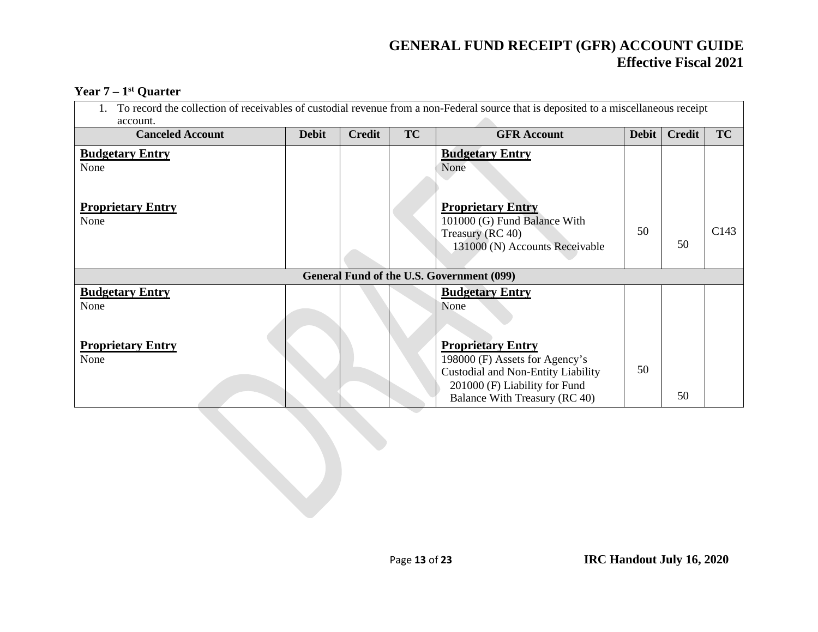#### **Year 7 – 1st Quarter**

| To record the collection of receivables of custodial revenue from a non-Federal source that is deposited to a miscellaneous receipt<br>account. |              |               |    |                                                                                                                                                                    |              |               |      |
|-------------------------------------------------------------------------------------------------------------------------------------------------|--------------|---------------|----|--------------------------------------------------------------------------------------------------------------------------------------------------------------------|--------------|---------------|------|
| <b>Canceled Account</b>                                                                                                                         | <b>Debit</b> | <b>Credit</b> | TC | <b>GFR Account</b>                                                                                                                                                 | <b>Debit</b> | <b>Credit</b> | TC   |
| <b>Budgetary Entry</b><br>None                                                                                                                  |              |               |    | <b>Budgetary Entry</b><br>None                                                                                                                                     |              |               |      |
| <b>Proprietary Entry</b><br>None                                                                                                                |              |               |    | <b>Proprietary Entry</b><br>101000 (G) Fund Balance With<br>Treasury (RC 40)<br>131000 (N) Accounts Receivable                                                     | 50           | 50            | C143 |
|                                                                                                                                                 |              |               |    | General Fund of the U.S. Government (099)                                                                                                                          |              |               |      |
| <b>Budgetary Entry</b><br>None                                                                                                                  |              |               |    | <b>Budgetary Entry</b><br>None                                                                                                                                     |              |               |      |
| <b>Proprietary Entry</b><br>None                                                                                                                |              |               |    | <b>Proprietary Entry</b><br>198000 (F) Assets for Agency's<br>Custodial and Non-Entity Liability<br>201000 (F) Liability for Fund<br>Balance With Treasury (RC 40) | 50           | 50            |      |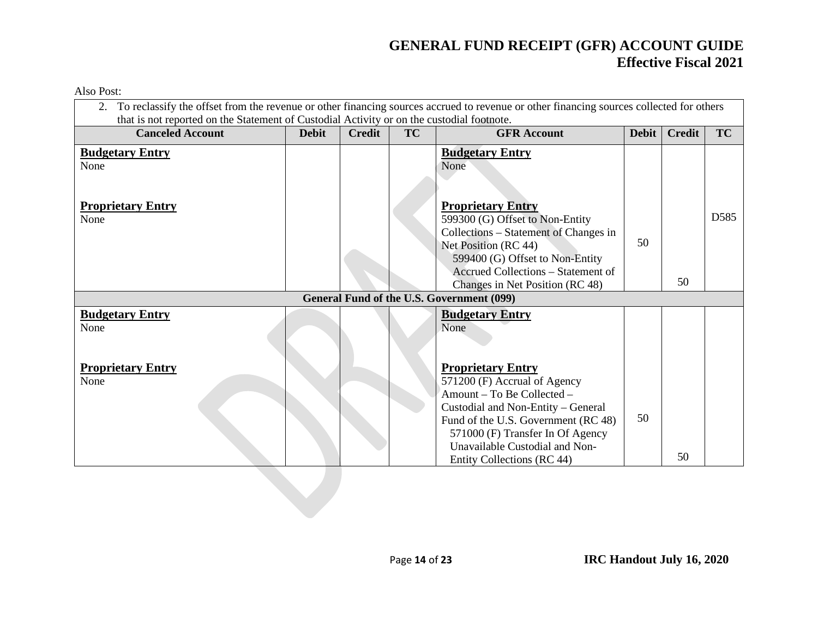| <b>Canceled Account</b>          | <b>Debit</b> | <b>Credit</b> | <b>TC</b> | <b>GFR Account</b>                                                                                                                                                                                                                                                      | <b>Debit</b> | <b>Credit</b> | TC               |
|----------------------------------|--------------|---------------|-----------|-------------------------------------------------------------------------------------------------------------------------------------------------------------------------------------------------------------------------------------------------------------------------|--------------|---------------|------------------|
| <b>Budgetary Entry</b><br>None   |              |               |           | <b>Budgetary Entry</b><br>None                                                                                                                                                                                                                                          |              |               |                  |
| <b>Proprietary Entry</b><br>None |              |               |           | <b>Proprietary Entry</b><br>599300 (G) Offset to Non-Entity<br>Collections - Statement of Changes in<br>Net Position (RC 44)<br>599400 (G) Offset to Non-Entity<br>Accrued Collections - Statement of<br>Changes in Net Position (RC 48)                                | 50           | 50            | D <sub>585</sub> |
|                                  |              |               |           | General Fund of the U.S. Government (099)                                                                                                                                                                                                                               |              |               |                  |
| <b>Budgetary Entry</b><br>None   |              |               |           | <b>Budgetary Entry</b><br>None                                                                                                                                                                                                                                          |              |               |                  |
| <b>Proprietary Entry</b><br>None |              |               |           | <b>Proprietary Entry</b><br>571200 (F) Accrual of Agency<br>Amount - To Be Collected -<br>Custodial and Non-Entity - General<br>Fund of the U.S. Government (RC 48)<br>571000 (F) Transfer In Of Agency<br>Unavailable Custodial and Non-<br>Entity Collections (RC 44) | 50           | 50            |                  |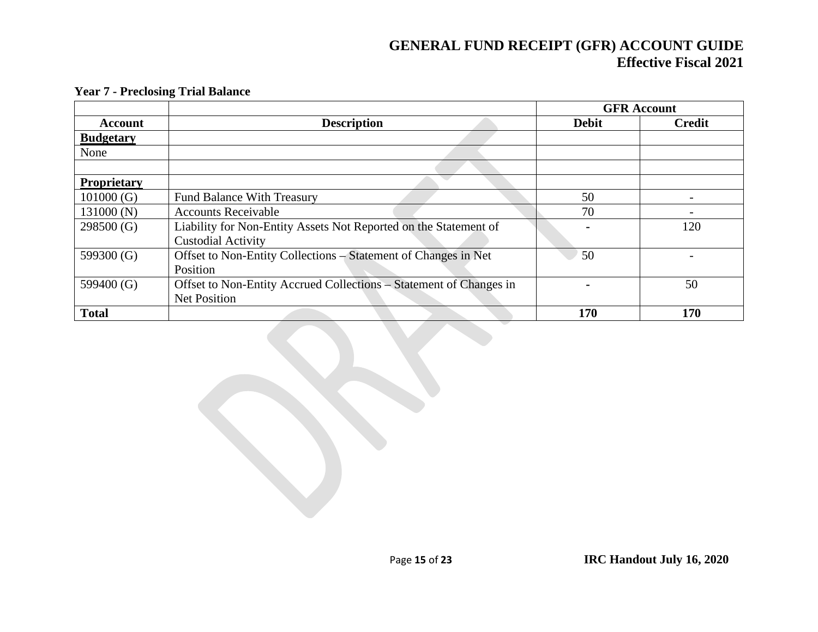|                    |                                                                    |              | <b>GFR Account</b> |
|--------------------|--------------------------------------------------------------------|--------------|--------------------|
| <b>Account</b>     | <b>Description</b>                                                 | <b>Debit</b> | <b>Credit</b>      |
| <b>Budgetary</b>   |                                                                    |              |                    |
| None               |                                                                    |              |                    |
|                    |                                                                    |              |                    |
| <b>Proprietary</b> |                                                                    |              |                    |
| 101000(G)          | <b>Fund Balance With Treasury</b>                                  | 50           |                    |
| 131000 (N)         | <b>Accounts Receivable</b>                                         | 70           |                    |
| 298500(G)          | Liability for Non-Entity Assets Not Reported on the Statement of   |              | 120                |
|                    | <b>Custodial Activity</b>                                          |              |                    |
| 599300 (G)         | Offset to Non-Entity Collections – Statement of Changes in Net     | 50           |                    |
|                    | Position                                                           |              |                    |
| 599400 (G)         | Offset to Non-Entity Accrued Collections - Statement of Changes in |              | 50                 |
|                    | <b>Net Position</b>                                                |              |                    |
| <b>Total</b>       |                                                                    | 170          | 170                |

#### **Year 7 - Preclosing Trial Balance**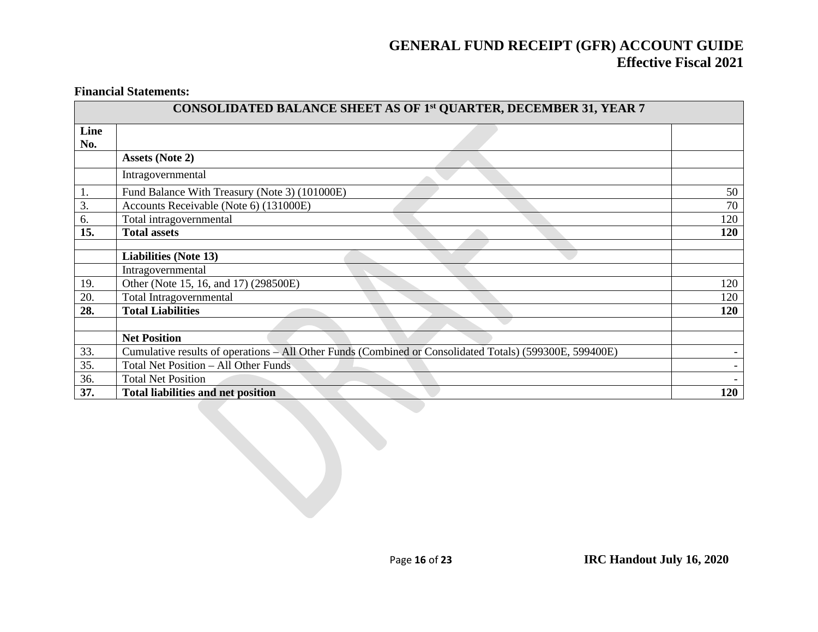#### **Financial Statements:**

|             | CONSOLIDATED BALANCE SHEET AS OF 1st QUARTER, DECEMBER 31, YEAR 7                                       |     |
|-------------|---------------------------------------------------------------------------------------------------------|-----|
| Line<br>No. |                                                                                                         |     |
|             | <b>Assets (Note 2)</b>                                                                                  |     |
|             | Intragovernmental                                                                                       |     |
| 1.          | Fund Balance With Treasury (Note 3) (101000E)                                                           | 50  |
| 3.          | Accounts Receivable (Note 6) (131000E)                                                                  | 70  |
| 6.          | Total intragovernmental                                                                                 | 120 |
| 15.         | <b>Total assets</b>                                                                                     | 120 |
|             |                                                                                                         |     |
|             | <b>Liabilities (Note 13)</b>                                                                            |     |
|             | Intragovernmental                                                                                       |     |
| 19.         | Other (Note 15, 16, and 17) (298500E)                                                                   | 120 |
| 20.         | Total Intragovernmental                                                                                 | 120 |
| 28.         | <b>Total Liabilities</b>                                                                                | 120 |
|             |                                                                                                         |     |
|             | <b>Net Position</b>                                                                                     |     |
| 33.         | Cumulative results of operations – All Other Funds (Combined or Consolidated Totals) (599300E, 599400E) |     |
| 35.         | Total Net Position - All Other Funds                                                                    |     |
| 36.         | <b>Total Net Position</b>                                                                               |     |
| 37.         | <b>Total liabilities and net position</b>                                                               | 120 |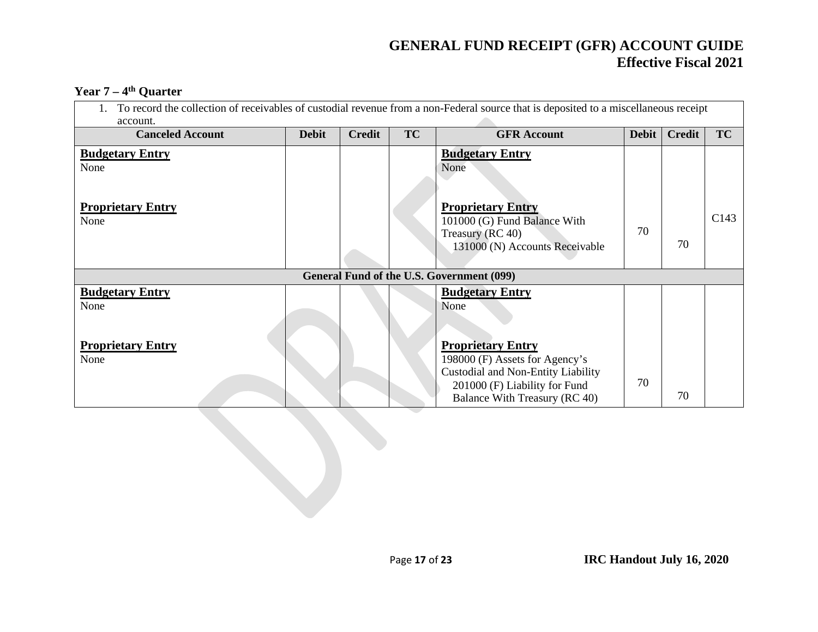#### **Year 7 – 4th Quarter**

| To record the collection of receivables of custodial revenue from a non-Federal source that is deposited to a miscellaneous receipt<br>account. |              |               |           |                                                                                                                                                                    |              |               |      |
|-------------------------------------------------------------------------------------------------------------------------------------------------|--------------|---------------|-----------|--------------------------------------------------------------------------------------------------------------------------------------------------------------------|--------------|---------------|------|
| <b>Canceled Account</b>                                                                                                                         | <b>Debit</b> | <b>Credit</b> | <b>TC</b> | <b>GFR Account</b>                                                                                                                                                 | <b>Debit</b> | <b>Credit</b> | TC   |
| <b>Budgetary Entry</b><br>None<br><b>Proprietary Entry</b>                                                                                      |              |               |           | <b>Budgetary Entry</b><br>None<br><b>Proprietary Entry</b>                                                                                                         |              |               |      |
| None                                                                                                                                            |              |               |           | 101000 (G) Fund Balance With<br>Treasury (RC 40)<br>131000 (N) Accounts Receivable                                                                                 | 70           | 70            | C143 |
|                                                                                                                                                 |              |               |           | General Fund of the U.S. Government (099)                                                                                                                          |              |               |      |
| <b>Budgetary Entry</b><br>None                                                                                                                  |              |               |           | <b>Budgetary Entry</b><br>None                                                                                                                                     |              |               |      |
| <b>Proprietary Entry</b><br>None                                                                                                                |              |               |           | <b>Proprietary Entry</b><br>198000 (F) Assets for Agency's<br>Custodial and Non-Entity Liability<br>201000 (F) Liability for Fund<br>Balance With Treasury (RC 40) | 70           | 70            |      |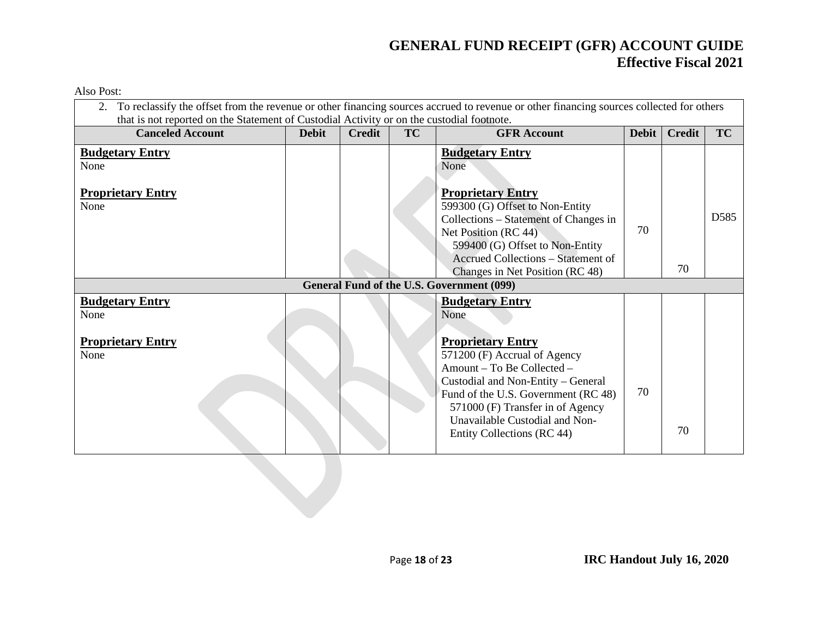| To reclassify the offset from the revenue or other financing sources accrued to revenue or other financing sources collected for others<br>that is not reported on the Statement of Custodial Activity or on the custodial footnote. |              |               |           |                                                                                                                                                                                                                                                                                                           |              |               |           |
|--------------------------------------------------------------------------------------------------------------------------------------------------------------------------------------------------------------------------------------|--------------|---------------|-----------|-----------------------------------------------------------------------------------------------------------------------------------------------------------------------------------------------------------------------------------------------------------------------------------------------------------|--------------|---------------|-----------|
| <b>Canceled Account</b>                                                                                                                                                                                                              | <b>Debit</b> | <b>Credit</b> | <b>TC</b> | <b>GFR Account</b>                                                                                                                                                                                                                                                                                        | <b>Debit</b> | <b>Credit</b> | <b>TC</b> |
| <b>Budgetary Entry</b><br>None                                                                                                                                                                                                       |              |               |           | <b>Budgetary Entry</b><br>None                                                                                                                                                                                                                                                                            |              |               |           |
| <b>Proprietary Entry</b><br>None                                                                                                                                                                                                     |              |               |           | <b>Proprietary Entry</b><br>599300 (G) Offset to Non-Entity<br>Collections – Statement of Changes in<br>Net Position (RC 44)<br>599400 (G) Offset to Non-Entity<br>Accrued Collections – Statement of<br>Changes in Net Position (RC 48)                                                                  | 70           | 70            | D585      |
|                                                                                                                                                                                                                                      |              |               |           | General Fund of the U.S. Government (099)                                                                                                                                                                                                                                                                 |              |               |           |
| <b>Budgetary Entry</b><br>None<br><b>Proprietary Entry</b><br>None                                                                                                                                                                   |              |               |           | <b>Budgetary Entry</b><br>None<br><b>Proprietary Entry</b><br>571200 (F) Accrual of Agency<br>Amount - To Be Collected -<br>Custodial and Non-Entity - General<br>Fund of the U.S. Government (RC 48)<br>571000 (F) Transfer in of Agency<br>Unavailable Custodial and Non-<br>Entity Collections (RC 44) | 70           | 70            |           |
|                                                                                                                                                                                                                                      |              |               |           |                                                                                                                                                                                                                                                                                                           |              |               |           |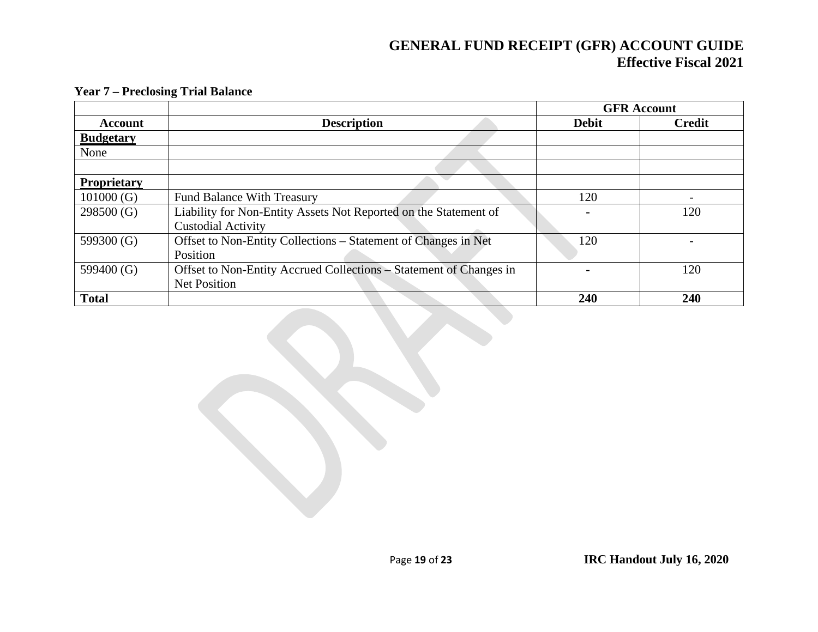|                    |                                                                    |              | <b>GFR</b> Account |
|--------------------|--------------------------------------------------------------------|--------------|--------------------|
| <b>Account</b>     | <b>Description</b>                                                 | <b>Debit</b> | <b>Credit</b>      |
| <b>Budgetary</b>   |                                                                    |              |                    |
| None               |                                                                    |              |                    |
|                    |                                                                    |              |                    |
| <b>Proprietary</b> |                                                                    |              |                    |
| 101000(G)          | <b>Fund Balance With Treasury</b>                                  | 120          |                    |
| 298500(G)          | Liability for Non-Entity Assets Not Reported on the Statement of   |              | 120                |
|                    | <b>Custodial Activity</b>                                          |              |                    |
| 599300 (G)         | Offset to Non-Entity Collections - Statement of Changes in Net     | 120          |                    |
|                    | Position                                                           |              |                    |
| 599400 (G)         | Offset to Non-Entity Accrued Collections – Statement of Changes in |              | 120                |
|                    | <b>Net Position</b>                                                |              |                    |
| <b>Total</b>       |                                                                    | 240          | 240                |

#### **Year 7 – Preclosing Trial Balance**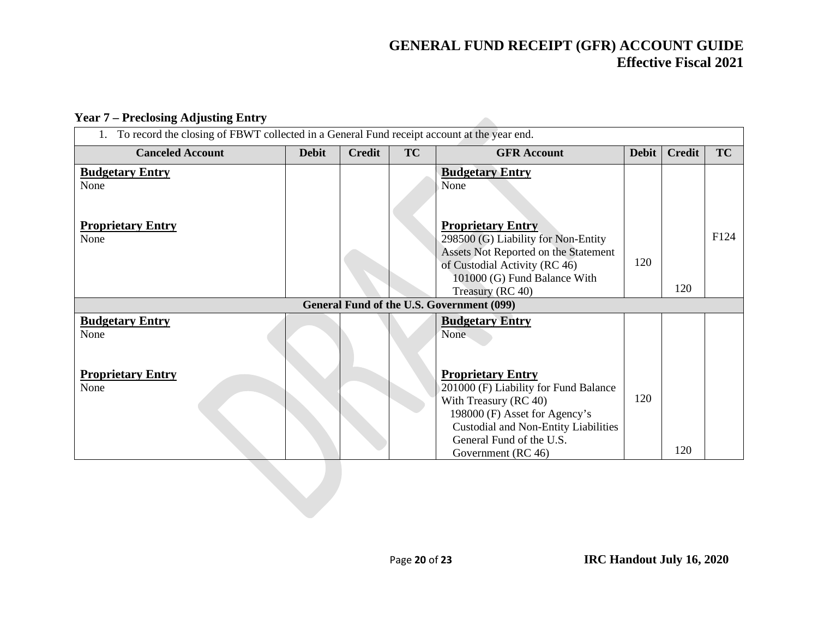$\mathcal{L}$ 

#### **Year 7 – Preclosing Adjusting Entry**

| To record the closing of FBWT collected in a General Fund receipt account at the year end. |              |               |           |                                                                                                                                                                                                                       |              |               |      |
|--------------------------------------------------------------------------------------------|--------------|---------------|-----------|-----------------------------------------------------------------------------------------------------------------------------------------------------------------------------------------------------------------------|--------------|---------------|------|
| <b>Canceled Account</b>                                                                    | <b>Debit</b> | <b>Credit</b> | <b>TC</b> | <b>GFR Account</b>                                                                                                                                                                                                    | <b>Debit</b> | <b>Credit</b> | TC   |
| <b>Budgetary Entry</b><br>None                                                             |              |               |           | <b>Budgetary Entry</b><br>None                                                                                                                                                                                        |              |               |      |
| <b>Proprietary Entry</b><br>None                                                           |              |               |           | <b>Proprietary Entry</b><br>298500 (G) Liability for Non-Entity<br>Assets Not Reported on the Statement<br>of Custodial Activity (RC 46)<br>101000 (G) Fund Balance With<br>Treasury (RC 40)                          | 120          | 120           | F124 |
|                                                                                            |              |               |           | <b>General Fund of the U.S. Government (099)</b>                                                                                                                                                                      |              |               |      |
| <b>Budgetary Entry</b><br>None                                                             |              |               |           | <b>Budgetary Entry</b><br>None                                                                                                                                                                                        |              |               |      |
| <b>Proprietary Entry</b><br>None                                                           |              |               |           | <b>Proprietary Entry</b><br>201000 (F) Liability for Fund Balance<br>With Treasury (RC 40)<br>198000 (F) Asset for Agency's<br>Custodial and Non-Entity Liabilities<br>General Fund of the U.S.<br>Government (RC 46) | 120          | 120           |      |
|                                                                                            |              |               |           |                                                                                                                                                                                                                       |              |               |      |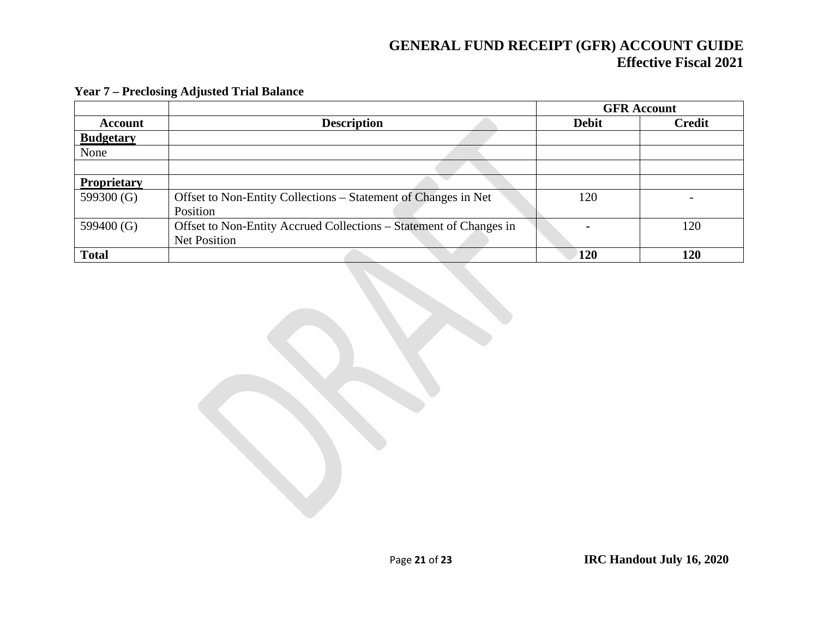|                    |                                                                    |              | <b>GFR</b> Account |
|--------------------|--------------------------------------------------------------------|--------------|--------------------|
| Account            | <b>Description</b>                                                 | <b>Debit</b> | <b>Credit</b>      |
| <b>Budgetary</b>   |                                                                    |              |                    |
| None               |                                                                    |              |                    |
|                    |                                                                    |              |                    |
| <b>Proprietary</b> |                                                                    |              |                    |
| 599300 (G)         | Offset to Non-Entity Collections – Statement of Changes in Net     | 120          |                    |
|                    | Position                                                           |              |                    |
| 599400 $(G)$       | Offset to Non-Entity Accrued Collections – Statement of Changes in |              | 120                |
|                    | Net Position                                                       |              |                    |
| <b>Total</b>       |                                                                    | 120          | 120                |

#### **Year 7 – Preclosing Adjusted Trial Balance**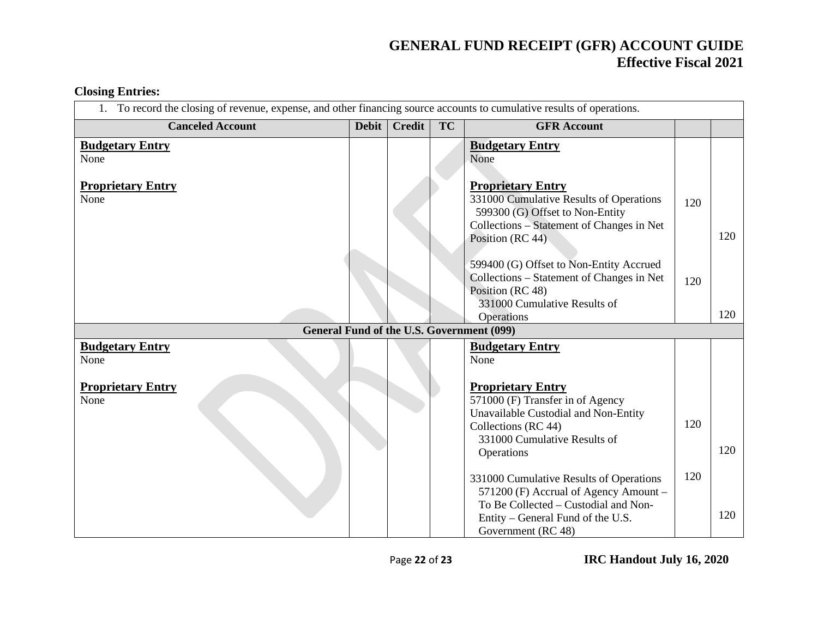#### 1. To record the closing of revenue, expense, and other financing source accounts to cumulative results of operations. **Canceled Account Debit Credit TC GFR** Account **Budgetary Entry** None **Proprietary Entry** None **Budgetary Entry** None **Proprietary Entry** 331000 Cumulative Results of Operations 599300 (G) Offset to Non-Entity Collections – Statement of Changes in Net Position (RC 44) 599400 (G) Offset to Non-Entity Accrued Collections – Statement of Changes in Net Position (RC 48) 331000 Cumulative Results of **Operations** 120 120 120 120 **General Fund of the U.S. Government (099) Budgetary Entry** None **Proprietary Entry** None **Budgetary Entry** None **Proprietary Entry** 571000 (F) Transfer in of Agency Unavailable Custodial and Non-Entity Collections (RC 44) 331000 Cumulative Results of Operations 331000 Cumulative Results of Operations 571200 (F) Accrual of Agency Amount – To Be Collected – Custodial and Non- Entity – General Fund of the U.S. Government (RC 48) 120 120 120 120

**Closing Entries:**